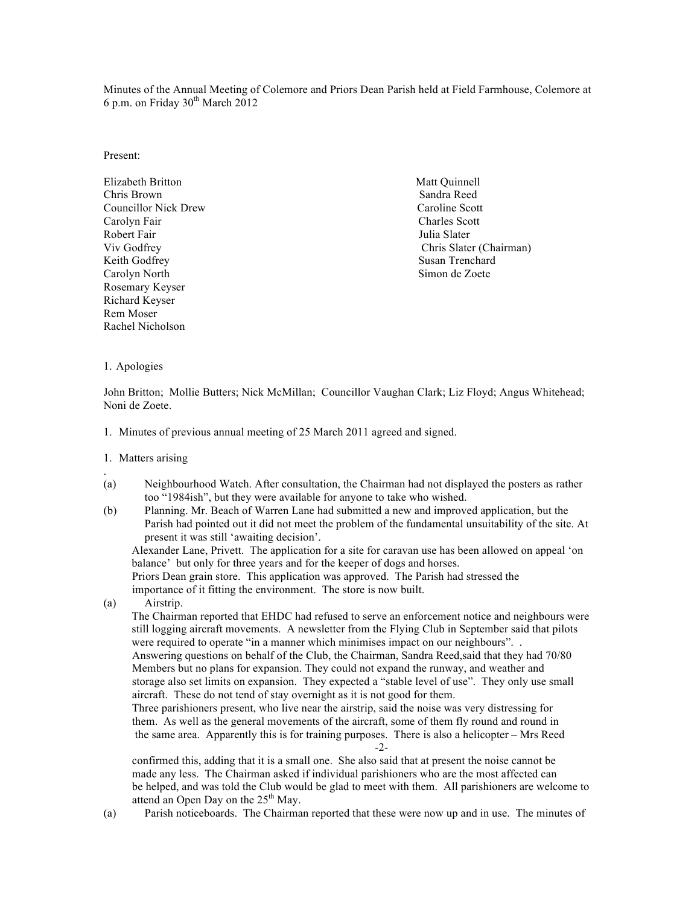Minutes of the Annual Meeting of Colemore and Priors Dean Parish held at Field Farmhouse, Colemore at 6 p.m. on Friday  $30<sup>th</sup>$  March  $2012$ 

Present:

Elizabeth Britton Matt Quinnell Chris Brown Sandra Reed Councillor Nick Drew Caroline Scott Carolyn Fair Charles Scott Robert Fair **Fair** Julia Slater **Julia Slater Julia Slater** Keith Godfrey Susan Trenchard Carolyn North Simon de Zoete Rosemary Keyser Richard Keyser Rem Moser Rachel Nicholson

Viv Godfrey Chris Slater (Chairman)

1. Apologies

John Britton; Mollie Butters; Nick McMillan; Councillor Vaughan Clark; Liz Floyd; Angus Whitehead; Noni de Zoete.

1. Minutes of previous annual meeting of 25 March 2011 agreed and signed.

#### 1. Matters arising

.

- (a) Neighbourhood Watch. After consultation, the Chairman had not displayed the posters as rather too "1984ish", but they were available for anyone to take who wished.
- (b) Planning. Mr. Beach of Warren Lane had submitted a new and improved application, but the Parish had pointed out it did not meet the problem of the fundamental unsuitability of the site. At present it was still 'awaiting decision'.

Alexander Lane, Privett. The application for a site for caravan use has been allowed on appeal 'on balance' but only for three years and for the keeper of dogs and horses.

 Priors Dean grain store. This application was approved. The Parish had stressed the importance of it fitting the environment. The store is now built.

(a) Airstrip.

The Chairman reported that EHDC had refused to serve an enforcement notice and neighbours were still logging aircraft movements. A newsletter from the Flying Club in September said that pilots were required to operate "in a manner which minimises impact on our neighbours". . Answering questions on behalf of the Club, the Chairman, Sandra Reed,said that they had 70/80 Members but no plans for expansion. They could not expand the runway, and weather and storage also set limits on expansion. They expected a "stable level of use". They only use small

aircraft. These do not tend of stay overnight as it is not good for them.

 Three parishioners present, who live near the airstrip, said the noise was very distressing for them. As well as the general movements of the aircraft, some of them fly round and round in the same area. Apparently this is for training purposes. There is also a helicopter – Mrs Reed -2-

 confirmed this, adding that it is a small one. She also said that at present the noise cannot be made any less. The Chairman asked if individual parishioners who are the most affected can be helped, and was told the Club would be glad to meet with them. All parishioners are welcome to attend an Open Day on the 25<sup>th</sup> May.

(a) Parish noticeboards. The Chairman reported that these were now up and in use. The minutes of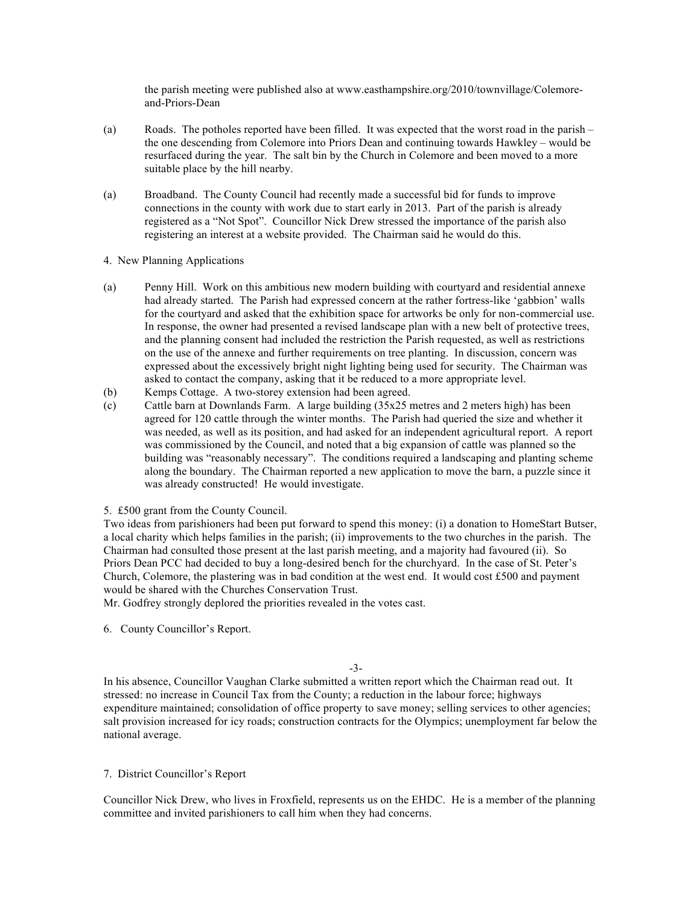the parish meeting were published also at www.easthampshire.org/2010/townvillage/Colemoreand-Priors-Dean

- (a) Roads. The potholes reported have been filled. It was expected that the worst road in the parish the one descending from Colemore into Priors Dean and continuing towards Hawkley – would be resurfaced during the year. The salt bin by the Church in Colemore and been moved to a more suitable place by the hill nearby.
- (a) Broadband. The County Council had recently made a successful bid for funds to improve connections in the county with work due to start early in 2013. Part of the parish is already registered as a "Not Spot". Councillor Nick Drew stressed the importance of the parish also registering an interest at a website provided. The Chairman said he would do this.

# 4. New Planning Applications

- (a) Penny Hill. Work on this ambitious new modern building with courtyard and residential annexe had already started. The Parish had expressed concern at the rather fortress-like 'gabbion' walls for the courtyard and asked that the exhibition space for artworks be only for non-commercial use. In response, the owner had presented a revised landscape plan with a new belt of protective trees, and the planning consent had included the restriction the Parish requested, as well as restrictions on the use of the annexe and further requirements on tree planting. In discussion, concern was expressed about the excessively bright night lighting being used for security. The Chairman was asked to contact the company, asking that it be reduced to a more appropriate level.
- (b) Kemps Cottage. A two-storey extension had been agreed.
- (c) Cattle barn at Downlands Farm. A large building (35x25 metres and 2 meters high) has been agreed for 120 cattle through the winter months. The Parish had queried the size and whether it was needed, as well as its position, and had asked for an independent agricultural report. A report was commissioned by the Council, and noted that a big expansion of cattle was planned so the building was "reasonably necessary". The conditions required a landscaping and planting scheme along the boundary. The Chairman reported a new application to move the barn, a puzzle since it was already constructed! He would investigate.

# 5. £500 grant from the County Council.

Two ideas from parishioners had been put forward to spend this money: (i) a donation to HomeStart Butser, a local charity which helps families in the parish; (ii) improvements to the two churches in the parish. The Chairman had consulted those present at the last parish meeting, and a majority had favoured (ii). So Priors Dean PCC had decided to buy a long-desired bench for the churchyard. In the case of St. Peter's Church, Colemore, the plastering was in bad condition at the west end. It would cost  $£500$  and payment would be shared with the Churches Conservation Trust.

Mr. Godfrey strongly deplored the priorities revealed in the votes cast.

6. County Councillor's Report.

-3-

In his absence, Councillor Vaughan Clarke submitted a written report which the Chairman read out. It stressed: no increase in Council Tax from the County; a reduction in the labour force; highways expenditure maintained; consolidation of office property to save money; selling services to other agencies; salt provision increased for icy roads; construction contracts for the Olympics; unemployment far below the national average.

# 7. District Councillor's Report

Councillor Nick Drew, who lives in Froxfield, represents us on the EHDC. He is a member of the planning committee and invited parishioners to call him when they had concerns.